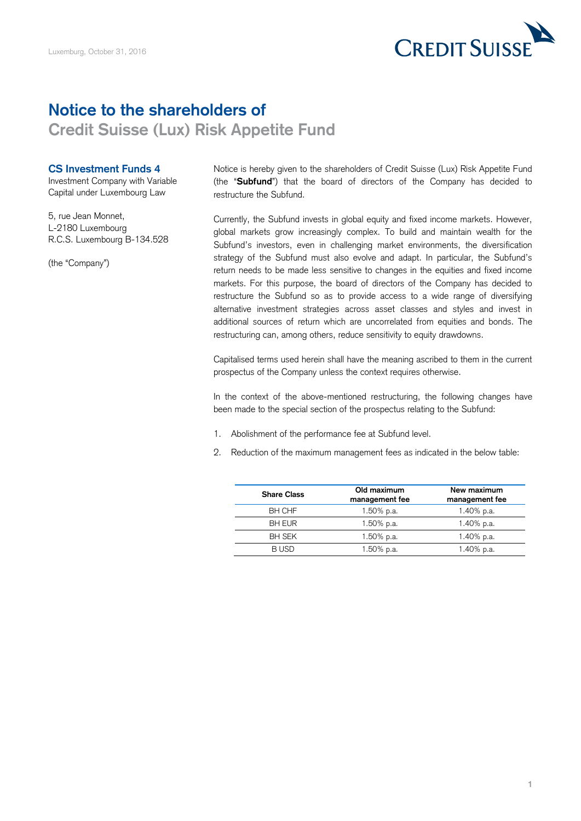

## **Notice to the shareholders of**

**Credit Suisse (Lux) Risk Appetite Fund** 

## **CS Investment Funds 4**

Investment Company with Variable Capital under Luxembourg Law

5, rue Jean Monnet, L-2180 Luxembourg R.C.S. Luxembourg B-134.528

(the "Company")

Notice is hereby given to the shareholders of Credit Suisse (Lux) Risk Appetite Fund (the "**Subfund**") that the board of directors of the Company has decided to restructure the Subfund.

Currently, the Subfund invests in global equity and fixed income markets. However, global markets grow increasingly complex. To build and maintain wealth for the Subfund's investors, even in challenging market environments, the diversification strategy of the Subfund must also evolve and adapt. In particular, the Subfund's return needs to be made less sensitive to changes in the equities and fixed income markets. For this purpose, the board of directors of the Company has decided to restructure the Subfund so as to provide access to a wide range of diversifying alternative investment strategies across asset classes and styles and invest in additional sources of return which are uncorrelated from equities and bonds. The restructuring can, among others, reduce sensitivity to equity drawdowns.

Capitalised terms used herein shall have the meaning ascribed to them in the current prospectus of the Company unless the context requires otherwise.

In the context of the above-mentioned restructuring, the following changes have been made to the special section of the prospectus relating to the Subfund:

- 1. Abolishment of the performance fee at Subfund level.
- 2. Reduction of the maximum management fees as indicated in the below table:

| <b>Share Class</b> | Old maximum<br>management fee | New maximum<br>management fee |
|--------------------|-------------------------------|-------------------------------|
| <b>BH CHF</b>      | 1.50% p.a.                    | 1.40% p.a.                    |
| <b>BH EUR</b>      | 1.50% p.a.                    | 1.40% p.a.                    |
| <b>BH SEK</b>      | 1.50% p.a.                    | 1.40% p.a.                    |
| B USD              | 1.50% p.a.                    | 1.40% p.a.                    |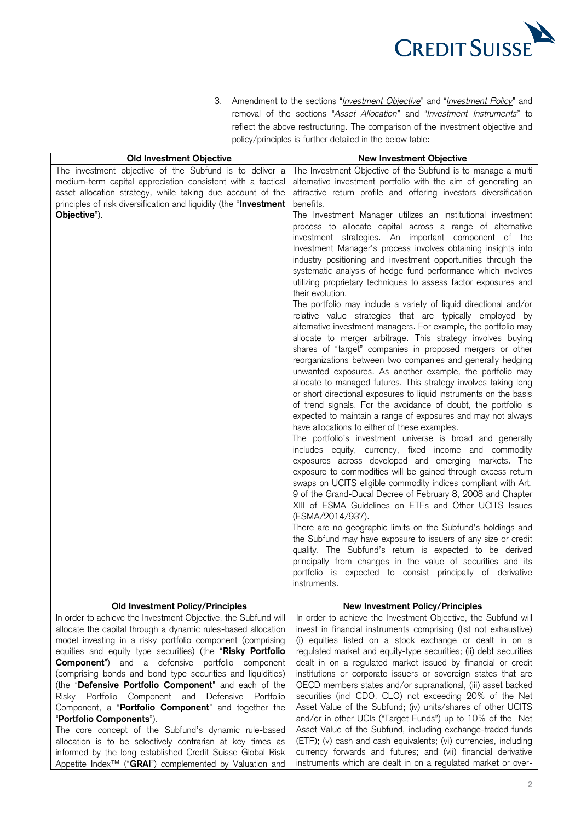

3. Amendment to the sections "*Investment Objective*" and "*Investment Policy*" and removal of the sections "*Asset Allocation*" and "*Investment Instruments*" to reflect the above restructuring. The comparison of the investment objective and policy/principles is further detailed in the below table:

| <b>Old Investment Objective</b>                                    | <b>New Investment Objective</b>                                   |
|--------------------------------------------------------------------|-------------------------------------------------------------------|
| The investment objective of the Subfund is to deliver a            | The Investment Objective of the Subfund is to manage a multi      |
| medium-term capital appreciation consistent with a tactical        | alternative investment portfolio with the aim of generating an    |
| asset allocation strategy, while taking due account of the         | attractive return profile and offering investors diversification  |
| principles of risk diversification and liquidity (the "Investment  | benefits.                                                         |
| Objective").                                                       | The Investment Manager utilizes an institutional investment       |
|                                                                    | process to allocate capital across a range of alternative         |
|                                                                    | investment strategies. An important component of the              |
|                                                                    | Investment Manager's process involves obtaining insights into     |
|                                                                    | industry positioning and investment opportunities through the     |
|                                                                    | systematic analysis of hedge fund performance which involves      |
|                                                                    | utilizing proprietary techniques to assess factor exposures and   |
|                                                                    | their evolution.                                                  |
|                                                                    | The portfolio may include a variety of liquid directional and/or  |
|                                                                    | relative value strategies that are typically employed by          |
|                                                                    | alternative investment managers. For example, the portfolio may   |
|                                                                    | allocate to merger arbitrage. This strategy involves buying       |
|                                                                    | shares of "target" companies in proposed mergers or other         |
|                                                                    | reorganizations between two companies and generally hedging       |
|                                                                    | unwanted exposures. As another example, the portfolio may         |
|                                                                    | allocate to managed futures. This strategy involves taking long   |
|                                                                    | or short directional exposures to liquid instruments on the basis |
|                                                                    | of trend signals. For the avoidance of doubt, the portfolio is    |
|                                                                    | expected to maintain a range of exposures and may not always      |
|                                                                    | have allocations to either of these examples.                     |
|                                                                    | The portfolio's investment universe is broad and generally        |
|                                                                    | includes equity, currency, fixed income and commodity             |
|                                                                    | exposures across developed and emerging markets. The              |
|                                                                    | exposure to commodities will be gained through excess return      |
|                                                                    | swaps on UCITS eligible commodity indices compliant with Art.     |
|                                                                    | 9 of the Grand-Ducal Decree of February 8, 2008 and Chapter       |
|                                                                    | XIII of ESMA Guidelines on ETFs and Other UCITS Issues            |
|                                                                    | (ESMA/2014/937).                                                  |
|                                                                    | There are no geographic limits on the Subfund's holdings and      |
|                                                                    | the Subfund may have exposure to issuers of any size or credit    |
|                                                                    | quality. The Subfund's return is expected to be derived           |
|                                                                    | principally from changes in the value of securities and its       |
|                                                                    | portfolio is expected to consist principally of derivative        |
|                                                                    | instruments.                                                      |
|                                                                    |                                                                   |
| <b>Old Investment Policy/Principles</b>                            | <b>New Investment Policy/Principles</b>                           |
| In order to achieve the Investment Objective, the Subfund will     | In order to achieve the Investment Objective, the Subfund will    |
| allocate the capital through a dynamic rules-based allocation      | invest in financial instruments comprising (list not exhaustive)  |
| model investing in a risky portfolio component (comprising         | (i) equities listed on a stock exchange or dealt in on a          |
| equities and equity type securities) (the "Risky Portfolio         | regulated market and equity-type securities; (ii) debt securities |
| <b>Component</b> ") and a defensive portfolio component            | dealt in on a regulated market issued by financial or credit      |
| (comprising bonds and bond type securities and liquidities)        | institutions or corporate issuers or sovereign states that are    |
| (the "Defensive Portfolio Component" and each of the               | OECD members states and/or supranational, (iii) asset backed      |
| Risky Portfolio Component and Defensive Portfolio                  | securities (incl CDO, CLO) not exceeding 20% of the Net           |
| Component, a "Portfolio Component" and together the                | Asset Value of the Subfund; (iv) units/shares of other UCITS      |
| "Portfolio Components").                                           | and/or in other UCIs ("Target Funds") up to 10% of the Net        |
| The core concept of the Subfund's dynamic rule-based               | Asset Value of the Subfund, including exchange-traded funds       |
| allocation is to be selectively contrarian at key times as         | (ETF); (v) cash and cash equivalents; (vi) currencies, including  |
| informed by the long established Credit Suisse Global Risk         | currency forwards and futures; and (vii) financial derivative     |
| Appetite Index <sup>™</sup> ("GRAI") complemented by Valuation and | instruments which are dealt in on a regulated market or over-     |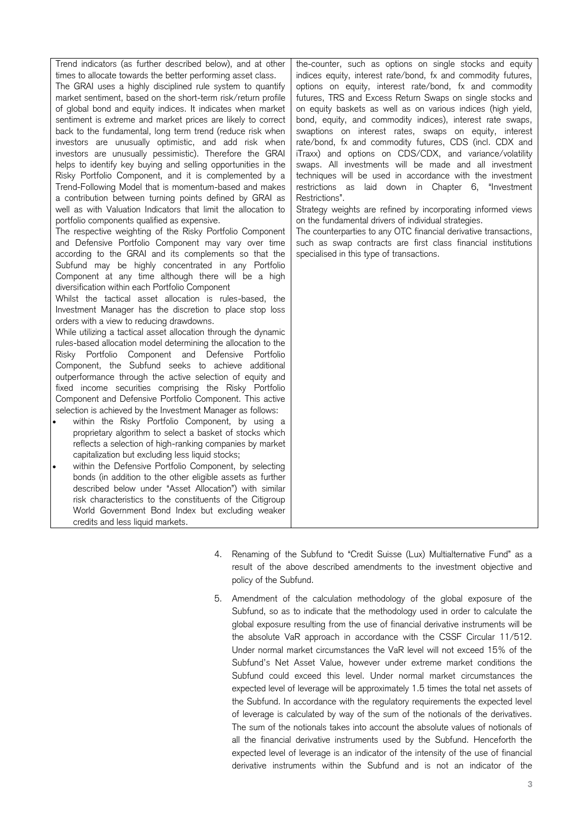| Trend indicators (as further described below), and at other<br>times to allocate towards the better performing asset class.<br>The GRAI uses a highly disciplined rule system to quantify<br>market sentiment, based on the short-term risk/return profile<br>of global bond and equity indices. It indicates when market<br>sentiment is extreme and market prices are likely to correct<br>back to the fundamental, long term trend (reduce risk when<br>investors are unusually optimistic, and add risk when<br>investors are unusually pessimistic). Therefore the GRAI<br>helps to identify key buying and selling opportunities in the<br>Risky Portfolio Component, and it is complemented by a<br>Trend-Following Model that is momentum-based and makes<br>a contribution between turning points defined by GRAI as<br>well as with Valuation Indicators that limit the allocation to<br>portfolio components qualified as expensive.<br>The respective weighting of the Risky Portfolio Component<br>and Defensive Portfolio Component may vary over time<br>according to the GRAI and its complements so that the<br>Subfund may be highly concentrated in any Portfolio<br>Component at any time although there will be a high<br>diversification within each Portfolio Component<br>Whilst the tactical asset allocation is rules-based, the<br>Investment Manager has the discretion to place stop loss<br>orders with a view to reducing drawdowns.<br>While utilizing a tactical asset allocation through the dynamic<br>rules-based allocation model determining the allocation to the<br>Risky Portfolio Component and Defensive Portfolio<br>Component, the Subfund seeks to achieve additional<br>outperformance through the active selection of equity and<br>fixed income securities comprising the Risky Portfolio<br>Component and Defensive Portfolio Component. This active<br>selection is achieved by the Investment Manager as follows:<br>within the Risky Portfolio Component, by using a<br>proprietary algorithm to select a basket of stocks which<br>reflects a selection of high-ranking companies by market<br>capitalization but excluding less liquid stocks;<br>within the Defensive Portfolio Component, by selecting<br>$\bullet$<br>bonds (in addition to the other eligible assets as further<br>described below under "Asset Allocation") with similar<br>risk characteristics to the constituents of the Citigroup<br>World Government Bond Index but excluding weaker<br>credits and less liquid markets. | the-counter, such as options on single stocks and equity<br>indices equity, interest rate/bond, fx and commodity futures,<br>options on equity, interest rate/bond, fx and commodity<br>futures, TRS and Excess Return Swaps on single stocks and<br>on equity baskets as well as on various indices (high yield,<br>bond, equity, and commodity indices), interest rate swaps,<br>swaptions on interest rates, swaps on equity, interest<br>rate/bond, fx and commodity futures, CDS (incl. CDX and<br>iTraxx) and options on CDS/CDX, and variance/volatility<br>swaps. All investments will be made and all investment<br>techniques will be used in accordance with the investment<br>restrictions as laid down in Chapter 6, "Investment<br>Restrictions".<br>Strategy weights are refined by incorporating informed views<br>on the fundamental drivers of individual strategies.<br>The counterparties to any OTC financial derivative transactions,<br>such as swap contracts are first class financial institutions<br>specialised in this type of transactions. |
|-----------------------------------------------------------------------------------------------------------------------------------------------------------------------------------------------------------------------------------------------------------------------------------------------------------------------------------------------------------------------------------------------------------------------------------------------------------------------------------------------------------------------------------------------------------------------------------------------------------------------------------------------------------------------------------------------------------------------------------------------------------------------------------------------------------------------------------------------------------------------------------------------------------------------------------------------------------------------------------------------------------------------------------------------------------------------------------------------------------------------------------------------------------------------------------------------------------------------------------------------------------------------------------------------------------------------------------------------------------------------------------------------------------------------------------------------------------------------------------------------------------------------------------------------------------------------------------------------------------------------------------------------------------------------------------------------------------------------------------------------------------------------------------------------------------------------------------------------------------------------------------------------------------------------------------------------------------------------------------------------------------------------------------------------------------------------------------------------------------------------------------------------------------------------------------------------------------------------------------------------------------------------------------------------------------------------------------------------------------------------------------------------------------------------------------------------------------------------------------------------------------------------------------------------------------|---------------------------------------------------------------------------------------------------------------------------------------------------------------------------------------------------------------------------------------------------------------------------------------------------------------------------------------------------------------------------------------------------------------------------------------------------------------------------------------------------------------------------------------------------------------------------------------------------------------------------------------------------------------------------------------------------------------------------------------------------------------------------------------------------------------------------------------------------------------------------------------------------------------------------------------------------------------------------------------------------------------------------------------------------------------------------|

- 4. Renaming of the Subfund to "Credit Suisse (Lux) Multialternative Fund" as a result of the above described amendments to the investment objective and policy of the Subfund.
- 5. Amendment of the calculation methodology of the global exposure of the Subfund, so as to indicate that the methodology used in order to calculate the global exposure resulting from the use of financial derivative instruments will be the absolute VaR approach in accordance with the CSSF Circular 11/512. Under normal market circumstances the VaR level will not exceed 15% of the Subfund's Net Asset Value, however under extreme market conditions the Subfund could exceed this level. Under normal market circumstances the expected level of leverage will be approximately 1.5 times the total net assets of the Subfund. In accordance with the regulatory requirements the expected level of leverage is calculated by way of the sum of the notionals of the derivatives. The sum of the notionals takes into account the absolute values of notionals of all the financial derivative instruments used by the Subfund. Henceforth the expected level of leverage is an indicator of the intensity of the use of financial derivative instruments within the Subfund and is not an indicator of the